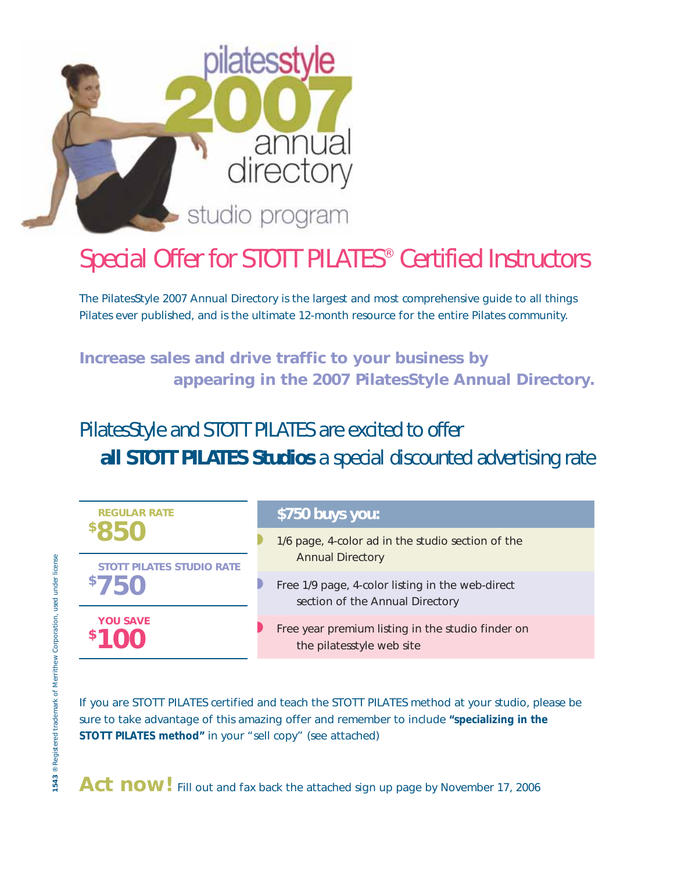

## Special Offer for STOTT PILATES® Certified Instructors

The PilatesStyle 2007 Annual Directory is the largest and most comprehensive guide to all things Pilates ever published, and is the ultimate 12-month resource for the entire Pilates community.

**Increase sales and drive traffic to your business by appearing in the 2007 PilatesStyle Annual Directory.**

PilatesStyle and STOTT PILATES are excited to offer **all STOTT PILATES Studios** a special discounted advertising rate



If you are STOTT PILATES certified and teach the STOTT PILATES method at your studio, please be sure to take advantage of this amazing offer and remember to include **"specializing in the STOTT PILATES method"** in your "sell copy" (see attached)

Act now! Fill out and fax back the attached sign up page by November 17, 2006